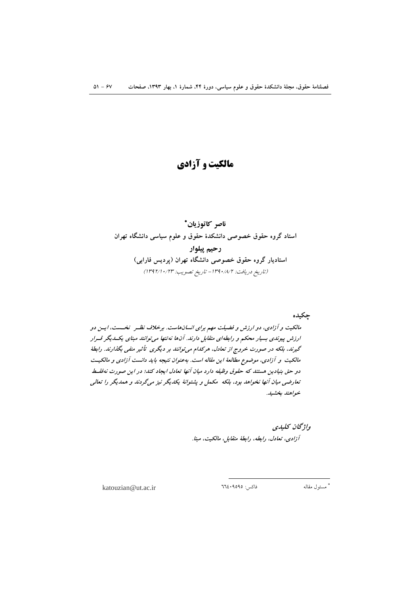# مالکیت و آزادی

ناصر كاتوز بان\* استاد گروه حقوق خصوصی دانشکدهٔ حقوق و علوم سیاسی دانشگاه تهران رحيم ييلوار استادیار گروه حقوق خصوصی دانشگاه تهران (پردیس فارابی) (تاريخ دريافت: ١٣٩٠/٨/٢ - تاريخ تصويب: ١٣٩٢/١٠/٢٣)

چکیده

مالکیت و آزادی، دو ارزش و فضیلت مهم برای انسانهاست. برخلاف نظـر نخـست، ایـن دو ارزش پیوندی بسیار محکم و رابطهای متقابل دارند. آنها نه تنها می توانند مبنای یکسدیگر قسرار گیرند، بلکه در صورت خروج از تعادل، هرکدام می توانند بر دیگری تأثیر منفی بگذارند. رابطهٔ مالکیت و آزادی، موضوع مطالعهٔ این مقاله است. بهعنوان نتیجه باید دانست آزادی و مالکیت دو حق بنیادین مستند که حقوق وظیفه دارد میان آنها تعادل ایجاد کند؛ در این صورت نهفقیط تعارضی میان آنها نخواهد بود، بلکه مکمل و پشتوانهٔ یکدیگر نیز میگردند و همدیگر را تعالی خواهند بخشيد.

> واۋىچان كىلىدى آزادي، تعادل، رابطه، رابطهٔ متقابل، مالكيت، مبنا.

katouzian@ut.ac.ir

فاكس: ٩٥٩٥٩٤٠٦٦٤

\* مسئول مقاله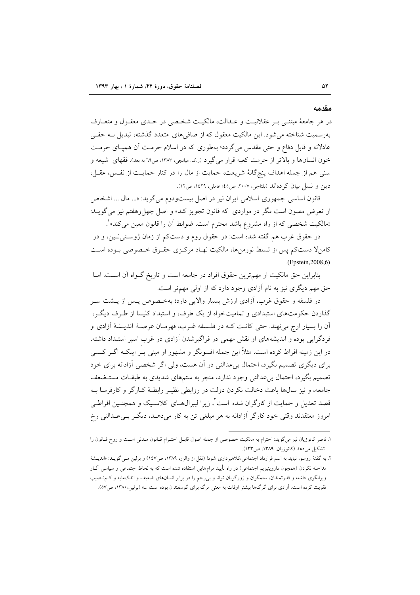مقدمه

در هر جامعهٔ مبتنبی بـر عقلانیـت و عـدالت، مالکیـت شخـصی در حـدی معقـول و متعـارف بهرسمیت شناخته می شود. این مالکیت معقول که از صافی های متعدد گذشته، تبدیل بـه حقـی عادلانه و قابل دفاع و حتی مقدس میگردد؛ بهطوری که در اسلام حرمت آن همپـای حرمـت خون انسانها و بالاتر از حرمت كعبه قرار مى گيرد (ر.ي. ميانجي، ١٣٨٣، ص٦٩ به بعد). فقهاى شيعه و سنی هم از جمله اهداف پنجگانهٔ شریعت، حمایت از مال را در کنار حمایـت از نفـس، عقـل، دين و نسل بيان كردهاند (بلتاجي، ٢٠٠٧، ص٤٤؛ عاملي، ١٤٢٩، ص١٢).

قانون اساسی جمهوری اسلامی ایران نیز در اصل بیستودوم می گوید: «... مال ... اشخاص از تعرض مصون است مگر در مواردی که قانون تجویز کند» و اصل چهل وهفتم نیز می گویــد: «مالکیت شخصی که از راه مشروع باشد محترم است. ضوابط آن را قانون معین می کند» ْ.

در حقوق غرب هم گفته شده است: در حقوق روم و دستکم از زمان ژوستی نـین، و در كامنلا دستكم پس از تسلط نورمنها، مالكيت نهـاد مركـزي حقـوق خـصوصي بـوده اسـت (Epstein, 2008, 6)

بنابراین حق مالکیت از مهم ترین حقوق افراد در جامعه است و تاریخ گـواه آن اسـت. امـا حق مهم دیگری نیز به نام آزادی وجود دارد که از اولی مهمتر است.

در فلسفه و حقوق غرب، آزادي ارزش بسيار والايي دارد؛ بهخـصوص پـس از پــشت ســر گذاردن حکومتهای استبدادی و تمامیتخواه از یک طرف، و استبداد کلیسا از طـ,ف دیگـ,، آن را بسیار ارج می نهند. حتی کانـت کـه در فلـسفه غـرب، قهرمـان عرصـهٔ اندیــشهٔ آزادی و فردگرایی بوده و اندیشههای او نقش مهمی در فراگیرشدن آزادی در غرب اسیر استبداد داشته، در این زمینه افراط کرده است. مثلاً این جمله افسونگر و مشهور او مبنی بـر اینکـه اگــر کــسی برای دیگری تصمیم بگیرد، احتمال بیءدالتی در آن هست، ولی اگر شخصی آزادانه برای خود تصمیم بگیرد، احتمال بیعدالتی وجود ندارد، منجر به ستمهای شدیدی به طبقـات مستـضعف جامعه، و نیز سالها باعث دخالت نکردن دولت در روابطی نظیـر رابطـهٔ کـارگر و کارفرمـا بـه قصد تعدیل و حمایت از کارگران شده است ٌ، زیرا لیبرال۵ای کلاسـیک و همچنـین افراطـی امروز معتقدند وقتی خود کارگر آزادانه به هر مبلغی تن به کار میدهـد، دیگـر بـیعـدالتی رخ

۱. ناصر کاتوزیان نیز میگوید: احترام به مالکیت خصوصی از جمله اصول قابـل احتـرام قـانون مـدنی اسـت و روح قـانون را تشکیل میدهد (کاتوزیان، ۱۳۸۹، ص۱۳۳).

۲. به گفتهٔ روسو، نباید به اسم قرارداد اجتماعی،کلاهبرداری شود! (نقل از والزر، ۱۳۸۹، ص۱٤۷) و برلین مـی گویــد: «اندیــشهٔ مداخله نکردن (همچون داروینیزیم اجتماعی) در راه تأیید مرامهایی استفاده شده است که به لحاظ اجتماعی و سیاسی آثـار ویرانگری داشته و قدرتمندان، ستمگران و زورگویان توانا و بی رحم را در برابر انسانهای ضعیف و اندکءایه و کـمنـصیب تقویت کرده است. آزادی برای گرگها بیشتر اوقات به معنی مرگ برای گوسفندان بوده است ...» (برلین، ۱۳۸۰، ص۵۷).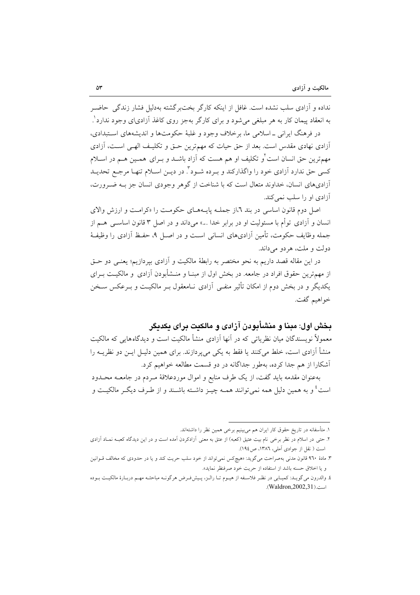نداده و آزادی سلب نشده است. غافل از اینکه کارگر بخت گشته بهدلیل فشار زندگی حاضیر به انعقاد پیمان کار به هر مبلغی می شود و برای کارگر بهجز روی کاغذ آزادی|ی وجود ندارد'.

در فرهنگ ایرانی \_اسلامی ما، برخلاف وجود و غلبهٔ حکومتها و اندیشههای استبدادی، أزادي نهادي مقدس است. بعد از حق حيات كه مهم ترين حــق و تكليـف الهــي اســت، آزادي مهمترین حق انسان است ٌو تکلیف او هم هست که آزاد باشـد و بـرای همـین هـم در اســلام کسی حق ندارد آزادی خود را واگذارکند و بـرده شـود". در دیـن اسـلام تنهـا مرجـع تحدیــد أزاديهاي انسان، خداوند متعال است كه با شناخت از گوهر وجودي انسان جز بـه ضـرورت، آزادی او را سلب نمی کند.

اصل دوم قانون اساسی در بند ٦،از جملـه پایـههـای حکومـت را «کرامـت و ارزش والای انسان و آزادی توأم با مسئولیت او در برابر خدا ...» می داند و در اصل ۳ قانون اساسبی هسم از جمله وظايف حكومت، تأمين آزاديهاي انساني است و در اصـل ٩، حفـظ آزادي را وظيفـهٔ دولت و ملت، هردو مي داند.

در این مقاله قصد داریم به نحو مختصر به رابطهٔ مالکیت و آزادی بیردازیم؛ یعنبی دو حـق از مهم ترین حقوق افراد در جامعه. در بخش اول از مبنــا و منــشأبودن آزادی و مالکیــت بــرای یکدیگر و در بخش دوم از امکان تأثیر منفی ِ آزادی نــامعقول بـر مالکیــت و بــرعکس ســخن خواهيم گفت.

# بخش اول: مبنا و منشأبودن آزادي و مالكنت براي بكديگر

معمولاً نویسندگان میان نظریاتی که در آنها آزادی منشأ مالکیت است و دیدگاههایی که مالکیت منشأ آزادي است، خلط مي كنند يا فقط به يكي مي يردازند. براي همين دليـل ايـن دو نظريــه را أشكارا از هم جدا كرده، بهطور جداگانه در دو قسمت مطالعه خواهیم كرد.

بهعنوان مقدمه بايد گفت، از يک طرف منابع و اموال موردعلاقهٔ مـردم در جامعــه محــدود است ٔ و به همین دلیل همه نمی توانند همـه چیــز داشــته باشــند و از طــرف دیگــر مالکیــت و

١. متأسفانه در تاريخ حقوق كار ايران هم مي بينيم برخي همين نظر را داشتهاند.

۲. حتی در اسلام در نظر برخی نام بیت عتیق (کعبه) از عتق به معنی آزادکردن آمده است و در این دیدگاه کعب نماد آزادی است ( نقل از جوادی آملی، ١٣٨٦، ص١٩٤).

۳. مادهٔ ۹۲۰ قانون مدنی بهصراحت میگوید: «هیچکس نمی تواند از خود سلب حریت کند و یا در حدودی که مخالف قــوانین و يا اخلاق حسنه باشد از استفاده از حريت خود صرفنظر نمايد».

٤. والدرون مي گويـد: كميـابي در نظـر فلاسـفه از هيـوم تـا رالـز، پـيشفـرض هرگونـه مباحثـه مهـم دربـارهٔ مالكيـت بـوده است.(Waldron,2002,31).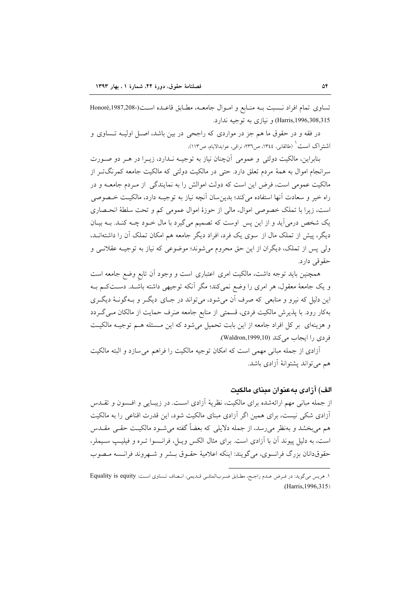تساوي تمام افراد نسبت بـه منـابع و امـوال جامعـه، مطـابق قاعـده اسـت(-Honoré,1987,208 Harris,1996,308,315) و نيازي به توجيه ندارد.

در فقه و در حقوق ما هم جز در مواردی که راجحی در بین باشد، اصـل اولیـه تـساوی و اشتراک است ` (طالقانی، ١٣٤٤، ص٣٢٦؛ نراقی، عوایدالایام، ص١١٣).

بنابراین، مالکیت دولتی و عمومی آنچنان نیاز به توجیـه نـدارد، زیـرا در هـر دو صـورت سرانجام اموال به همهٔ مردم تعلق دارد. حتی در مالکیت دولتی که مالکیت جامعه کمرنگ تـر از مالکیت عمومی است، فرض این است که دولت اموالش را به نمایندگی از مـردم جامعــه و در راه خير و سعادت آنها استفاده مي كند؛ بدين سان آنچه نياز به توجيــه دارد، مالكيـت خــصوصي است، زیرا با تملک خصوصی اموال، مالی از حوزهٔ اموال عمومی کم و تحت سلطهٔ انحصاری یک شخص درمی آید و از این پس اوست که تصمیم می گیرد با مال خـود چـه کنـد. بـه بیـان دیگر، پیش از تملک مال از سوی یک فرد، افراد دیگر جامعه هم امکان تملک آن را داشتهانــد، ولي پس از تملک، ديگران از اين حق محروم مي شوند؛ موضوعي که نياز به توجيـه عقلانــي و حقوقی دارد.

همچنین باید توجه داشت، مالکیت امری اعتباری است و وجود آن تابع وضع جامعه است و یک جامعهٔ معقول، هر امری را وضع نمیکند؛ مگر آنکه توجیهی داشته باشـد. دسـتکـم بـه این دلیل که نیرو و منابعی که صرف آن میشود، میتواند در جـای دیگـر و بـهگونـهٔ دیگـری بهکار رود. با پذیرش مالکیت فردی، قسمتی از منابع جامعه صرف حمایت از مالکان مےگردد و هزینهای بر کل افراد جامعه از این بابت تحمیل می شود که این مسئله هـم توجیـه مالکیـت فردی را ایجاب می کند (Waldron,1999,10).

أزادي از جمله مباني مهمي است كه امكان توجيه مالكيت را فراهم مي سازد و البته مالكيت هم می تواند پشتوانهٔ آزادی باشد.

## الف) آزادي يەعنوان مىناي مالكىت

از جمله مبانی مهم ارائهشده برای مالکیت، نظریهٔ آزادی است. در زیبـایی و افـسون و تقـدس آزادی شکی نیست، برای همین اگر آزادی مبنای مالکیت شود، این قدرت اقناعی را به مالکیت هم میبخشد و بهنظر میرسد، از جمله دلایلی که بعضاً گفته میشــود مالکیــت حقــی مقــدس است، به دلیل پیوند آن با آزادی است. برای مثال الکس ویـل، فرانـسوا تـره و فیلیـپ سـیملر، حقوقدانان بزرگ فرانسوي، مي گويند: اينكه اعلاميهٔ حقـوق بــشر و شــهروند فرانــسه مـصوب

١. هريس مي گويد: در فرض عدم راجح، مطابق ضربالمثلي قـديمي، انـصاف تـساوي اسـت: Equality is equity (Harris, 1996, 315)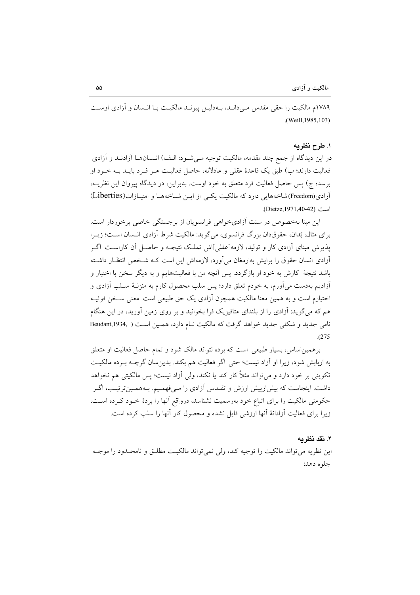١٧٨٩م مالكيت را حقى مقدس مبي دانـد، بـه دليـل پيونـد مالكيـت بــا انـسان و آزادي اوسـت .(Weill, 1985, 103)

### ١. طرح نظريه

در این دیدگاه از جمع چند مقدمه، مالکیت توجیه مـیشـود: الـف) انـسانهـا آزادنـد و آزادی فعالیت دارند؛ ب) طبق یک قاعدهٔ عقلی و عادلانه، حاصل فعالیت هـر فـرد بایــد بــه خــود او برسد؛ ج) پس حاصل فعالیت فرد متعلق به خود اوست. بنابراین، در دیدگاه پیروان این نظریــه، آزادی(Freedom)شاخههایی دارد که مالکیت یکبی از ایـن شـاخههـا و امتیـازات(Liberties) است (Dietze.1971.40-42).

این مبنا بهخصوص در سنت آزادی خواهی فرانسویان از برجستگی خاصی برخوردار است. برای مثال، بُدان، حقوقدان بزرگ فرانسوی، میگوید: مالکیت شرط آزادی انسان است؛ زیـرا یذیرش مبنای آزادی کار و تولید، لازمه[عقلی]اش تملک نتیجـه و حاصـل آن کاراسـت. اگـر أزادي انسان حقوق را برايش بهارمغان مى آورد، لازمهاش اين است كـه شـخص انتظـار داشـته باشد نتیجهٔ کارش به خود او بازگردد. پس آنچه من با فعالیتهایم و به دیگر سخن با اختیار و آزادیم بهدست می آورم، به خودم تعلق دارد؛ پس سلب محصول کارم به منزلـهٔ سـلب آزادی و اختیارم است و به همین معنا مالکیت همچون آزادی یک حق طبیعی است. معنی سـخن فوئیـه هم که میگوید: آزادی را از بلندای متافیزیک فرا بخوانید و بر روی زمین آورید، در این هنگام نامی جدید و شکلی جدید خواهد گرفت که مالکیت نـام دارد، همـین اسـت ( Beudant,1934,  $.275$ 

برهمین اساس، بسیار طبیعی است که برده نتواند مالک شود و تمام حاصل فعالیت او متعلق به اربابش شود، زيرا او آزاد نيست؛ حتى اگر فعاليت هم بكند. بدين سان گرچـه بـرده مالكيـت تکوینی بر خود دارد و می تواند مثلاً کار کند یا نکند، ولی آزاد نیست؛ پس مالکیتی هم نخواهد داشت. اینجاست که بیش|زپیش ارزش و تقــدس آزادی را مـیفهمـیم. بــههمـینترتیـب، اگــر حکومتی مالکیت را برای اتباع خود بهرسمیت نشناسد، درواقع آنها را بردهٔ خـود کـرده اسـت، زیرا برای فعالیت آزادانهٔ آنها ارزشی قابل نشده و محصول کار آنها را سلب کرده است.

#### ٢. نقد نظر به

این نظریه می تواند مالکیت را توجیه کند، ولی نمی تواند مالکیت مطلـق و نامحـدود را موجـه جلوه دهد: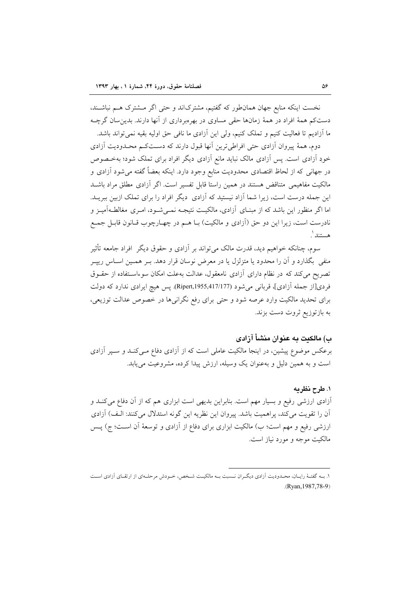نخست اینکه منابع جهان همان طور که گفتیم، مشترکاند و حتی اگر مشترک هـم نباشـند، دستکم همهٔ افراد در همهٔ زمانها حقی مساوی در بهرمبرداری از آنها دارند. بدین سان گرچـه ما آزادیم تا فعالیت کنیم و تملک کنیم، ولی این آزادی ما نافی حق اولیه بقیه نمی تواند باشد.

دوم، همهٔ پیروان آزادی حتی افراطی ترین آنها قبول دارند که دستکم محـدودیت آزادی خودِ اَزادی است. پس اَزادی مالک نباید مانع اَزادی دیگر افراد برای تملک شود؛ بهخـصوص در جهانی که از لحاظ اقتصادی محدودیت منابع وجود دارد. اینکه بعضاً گفته می شود آزادی و مالکیت مفاهیمی متناقض هستند در همین راستا قابل تفسیر است. اگر آزادی مطلق مراد باشـد این جمله درست است، زیرا شما آزاد نیستید که آزادی ً دیگر افراد را برای تملک ازبین ببریــد. اما اگر منظور این باشد که از مبنـای آزادی، مالکیـت نتیجـه نمـیشـود، امـری مغالطـهآمیـز و نادرست است، زیرا این دو حق (آزادی و مالکیت) بـا هـم در چهـارچوب قـانون قابـل جمـع هستند ْ.

سوم، چنانکه خواهیم دید، قدرت مالک میتواند بر آزادی و حقوق دیگر افراد جامعه تأثیر منفی بگذارد و آن را محدود یا متزلزل یا در معرض نوسان قرار دهد. بـر همـین اسـاس ریپـر تصریح می کند که در نظام دارای آزادی نامعقول، عدالت بهعلت امکان سوءاستفاده از حقـوق فردي[از جمله آزادي]، قرباني مي شود (Ripert,1955,417/177). پس هيچ ايرادي ندارد كه دولت برای تحدید مالکیت وارد عرصه شود و حتی برای رفع نگرانیها در خصوص عدالت توزیعی، به بازتوزیع ثروت دست بزند.

## ب) مالکنت به عنوان منشأ آزادی

برعکس موضوع پیشین، در اینجا مالکیت عاملی است که از آزادی دفاع مــیکنــد و ســپر آزادی است و به همین دلیل و بهعنوان یک وسیله، ارزش پیدا کرده، مشروعیت می یابد.

## ١. طرح نظريه

آزادی ارزشی رفیع و بسیار مهم است. بنابراین بدیهی است ابزاری هم که از آن دفاع میکنـد و آن را تقويت مي كند، پراهميت باشد. پيروان اين نظريه اين گونه استدلال مي كنند: الـف) آزادي ارزشی رفیع و مهم است؛ ب) مالکیت ابزاری برای دفاع از آزادی و توسعهٔ آن اسـت؛ ج) پــس مالکیت موجه و مورد نیاز است.

١. بــه گفتــهٔ رايــان، محــدوديت اَزادي ديگــران نــسبت بــه مالكيــت شــخص، خــودش مرحلــهاي از ارتقــاي اَزادي اســت  $(Ryan, 1987, 78-9)$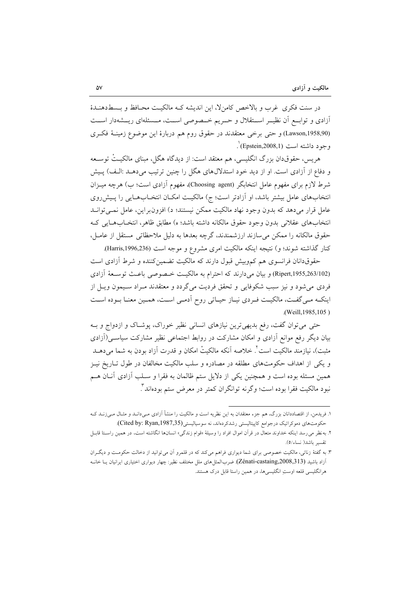در سنت فکری غرب و بالاخص کامن'لا، این اندیشه کـه مالکیـت محـافظ و بـسط(هنـدهٔ آزادی و توابع آن نظیــر اســتقلال و حــریم خــصوصی اســت، مــسئلهای ریــشهدار اســت (Lawson,1958,90) و حتى برخى معتقدند در حقوق روم هم دربارة اين موضوع زمينـۀ فكـرى وجود داشته است (Epstein,2008,1)`.

هريس، حقوق٥ان بزرگ انگليسي، هم معتقد است: از ديدگاه هگل، مبناي مالکيـتْ توســعه و دفاع از آزادی است. او از دید خود استدلال های هگل را چنین ترتیب میدهـد :الـف) پـیش شرط لازم برای مفهوم عامل انتخابگر (Choosing agent)، مفهوم آزادی است؛ ب) هرچه میــزان انتخابهای عامل بیشتر باشد، او آزادتر است؛ ج) مالکیت امکـان انتخـابهـایی را پـیشرروی عامل قرار میدهد که بدون وجود نهاد مالکیت ممکن نیستند؛ د) افزون براین، عامل نمـیتوانـد انتخابهاي عقلاني بدون وجود حقوق مالكانه داشته باشد؛ ه) مطابق ظاهر، انتخـابهـايي كـه حقوق مالكانه را ممكن مى سازند ارزشمندند، گرچه بعدها به دليل ملاحظاتى مستقل از عامـل، كنار گذاشته شوند؛ و) نتيجه اينكه مالكيت امرى مشروع و موجه است (Harris,1996,236).

حقوقدانان فرانسوی هم کموبیش قبول دارند که مالکیت تضمینکننده و شرط آزادی است (Ripert,1955,263/102) و بيان مي دارند كه احترام به مالكيت خصوصي باعث توسعة آزادي فردی می شود و نیز سبب شکوفایی و تحقق فردیت می گردد و معتقدند مـراد سـیمون ویـل از اینکـه مـی گفـت، مالکیـت فـردی نیـاز حیـاتی روح اَدمـی اسـت، همـین معنـا بـوده اسـت .(Weill, 1985, 105)

حتی می توان گفت، رفع بدیهی ترین نیازهای انسانی نظیر خوراک، پوشـاک و ازدواج و بـه بیان دیگر رفع موانع آزادی و امکان مشارکت در روابط اجتماعی نظیر مشارکت سیاسـی(آزادی مثبت)، نیازمند مالکیت است ٌ. خلاصه اّنکه مالکیتْ امکان و قدرت اَزاد بودن به شما میِ دهــد و یکی از اهداف حکومتهای مطلقه در مصادره و سلب مالکیت مخالفان در طول تـاریخ نیـز همین مسئله بوده است و همچنین یکی از دلایل ستم ظالمان به فقرا و سـلب آزادی آنـان هـم نبود مالکیت فقرا بوده است؛ وگرنه توانگران کمتر در معرض ستم بودهاند ً.

۱. فریدمن، از اقتصاددانان بزرگ، هم جزء معتقدان به این نظریه است و مالکیت را منشأ آزادی مـیcانــد و مثــال مـیزنــد کــه حکومتهای دموکراتیک درجوامع کاپیتالیستی رشدکردهاند، نه سوسیالیستی(Cited by: Ryan,1987,35).

۲. به نظر می رسد اینکه خداوند متعال در قرآن اموال افراد را وسیلهٔ «قوام زندگی» انسانها انگاشته است، در همین راسـتا قابـل تقسير باشد( نساء/٥).

۳. به گفتهٔ زناتی، مالکیت خصوصی برای شما دیواری فراهم میکند که در قلمرو آن میتوانید از دخالت حکومـت و دیگــران آزاد باشید (Zénati-castaing,2008,313). ضربالمثل های ملل مختلف نظیر: چهار دیواری اختیاری ایرانیان یــا خانــه هرانگلیسی قلعه اوستِ انگلیسیِها، در همین راستا قابل درک هستند.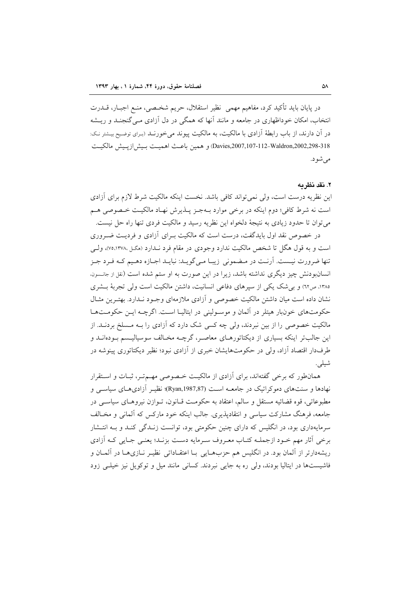در پایان باید تأکید کرد، مفاهیم مهمی نظیر استقلال، حریم شخـصی، منـع اجبــار، قـــدرت انتخاب، امکان خوداظهاری در جامعه و مانند آنها که همگی در دل آزادی مـیگنجنـد و ریــشه در آن دارند، از باب رابطهٔ آزادی با مالکیت، به مالکیت پیوند می خورنـد (بـرای توضـیح بیـشتر نـک: Davies,2007,107-112-Waldron,2002,298-318) و همين باعث اهميت بيش ازييش مالكيت مې شو د.

### ٢. نقد نظر مه

این نظریه درست است، ولی نمی تواند کافی باشد. نخست اینکه مالکیت شرط لازم برای آزادی است نه شرط کافي؛ دوم اينکه در برخي موارد بـهجـز پــذيرش نهـاد مالکيـت خــصوصي هــم مي توان تا حدود زيادي به نتيجهٔ دلخواه اين نظريه رسيد و مالكيت فردي تنها راه حل نيست.

در خصوص نقد اول بایدگفت، درست است که مالکیت بـرای آزادی و فردیـت ضـروری است و به قول هگل تا شخص مالکیت ندارد وجودی در مقام فرد نـدارد (هگل ،۷۵،۱۳۷۸)، ولـی تنها ضرورت نيست. اَرنـت در مـضموني زيبـا مـي گويـد: نبايـد اجـازه دهـيم كـه فـرد جـز انسانبودنش چیز دیگری نداشته باشد، زیرا در این صورت به او ستم شده است (نقل از جانسون. ۱۳۸۵، ص٦٢) و بی شک یکی از سیرهای دفاعی انسانیت، داشتن مالکیت است ولی تجربهٔ بـشری نشان داده است میان داشتن مالکیت خصوصی و آزادی ملازمهای وجـود نـدارد. بهتـرین مثـال حکومتهای خونبار هیتلر در آلمان و موسـولینی در ایتالیـا اسـت. اگرچـه ایـن حکومـتهـا مالکیت خصوصی را از بین نبردند، ولی چه کسی شک دارد که آزادی را بـه مـسلخ بردنــد. از این جالبتر اینکه بسیاری از دیکتاتورهـای معاصـر، گرچــه مخـالف سوسیالیـسم بـودهانــد و طرفدار اقتصاد آزاد، ولی در حکومتهایشان خبری از آزادی نبود؛ نظیر دیکتاتوری پینوشه در شيلي.

همانطور که برخی گفتهاند، برای آزادی از مالکیت خصوصی مهـمتـر، ثبـات و اسـتقرار نهادها و سنتهای دموکراتیک در جامعــه اســت (Ryan,1987,87)؛ نظیــر آزادیهــای سیاســی و مطبوعاتي، قوه قضائيه مستقل و سالم، اعتقاد به حکومت قــانون، تــوازن نيروهــاي سياســي در جامعه، فرهنگ مشارکت سیاسی و انتقادیذیری. جالب اینکه خود مارکس که آلمانی و مخـالف سرمایهداری بود، در انگلیس که دارای چنین حکومتی بود، توانست زنـدگی کنـد و بـه انتـشار برخي آثار مهم خـود ازجملـه كتـاب معـروف سـرمايه دسـت بزنـد؛ يعنـي جـايي كـه آزادي ریشهدارتر از آلمان بود. در انگلیس هم حزبهایی بـا اعتقـاداتی نظیـر نـازیهـا در آلمـان و فاشیستها در ایتالیا بودند، ولی ره به جایی نبردند. کسانی مانند میل و توکویل نیز خیلبی زود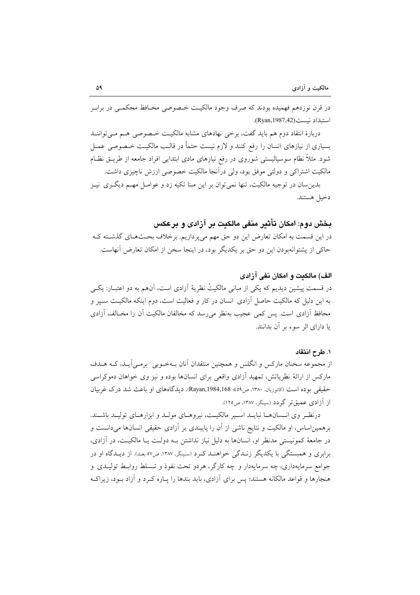در قرن نوزدهم فهميده بودند كه صرف وجود مالكيت خـصوصي محـافظ محكمـي در برابـر استبداد نسبت (Ryan, 1987,42).

دربارهٔ انتقاد دوم هم باید گفت، برخی نهادهای مشابه مالکیت خصوصی هـم مـی تواننــد بسیاری از نیازهای انسان را رفع کنند و لازم نیست حتماً در قالـب مالکیـت خـصوصی عمـل شود. مثلاً نظام سوسیالیستی شوروی در رفع نیازهای مادی ابتدایی افراد جامعه از طریــق نظــام مالکیت اشتراکی و دولتی موفق بود، ولی درآنجا مالکیت خصوصی ارزش ناچیزی داشت.

بدین سان در توجیه مالکیت، تنها نمیتوان بر این مبنا تکیه زد و عوامـل مهـم دیگـری نیـز دخيل هستند.

بخش دوم: امكان تأثير منفي مالكيت بر آزادي و برعكس

در این قسمت به امکان تعارض این دو حق مهم میپردازیم. برخلاف بحثهای گذشته ک حاکی از پشتوانهبودن این دو حق بر یکدیگر بود، در اینجا سخن از امکان تعارض آنهاست.

الف) مالكنت و امكان نفي آزادي در قسمت پیشین دیدیم که یکی از مبانی مالکیتْ نظریهٔ آزادی است، آنهم به دو اعتبــار: یکــی به این دلیل که مالکیت حاصل آزادی انسان در کار و فعالیت است، دوم اینکه مالکیـت سـپر و محافظ آزادی است. پس کمی عجیب بهنظر می رسد که مخالفان مالکیت آن را مخـالف آزادی يا داراي اثر سوء بر آن بدانند.

## ١. طرح انتقاد

از مجموعه سخنان مارکس و انگلس و همچنین منتقدان آنان بـهخـوبی برمـی]یـد، کـه هــدف مارکس از ارائهٔ نظریاتش، تمهید آزادی واقعی برای انسانها بوده و نیز وی خواهان دموکراسی حقیقی بوده است (کاتوزیان، ۱۳۸۰، ص۵۹؛ Rayan,1984,168). دیدگاههای او باعث شد درک غربیان از آزادی عمیقتر گردد (سینگر، ۱۳۸۷، ص۱۲۵).

درنظر وی انـسانهـا نبایـد اسـیر مالکیـت، نیروهـای مولـد و ابزارهـای تولیـد باشـند. برهمین اساس، او مالکیت و نتایج ناشی از آن را پایبندی بر آزادی حقیقی انسانها میدانست و در جامعهٔ کمونیستی مدنظر او، انسانها به دلیل نیاز نداشتن بـه دولـت یـا مالکیـت، در آزادی، برابری و همبستگی با یکدیگر زنـدگی خواهنـد کـرد (سـینگر، ۱۳۸۷، ص٥٧ بعـد). از دیـدگاه او در جوامع سرمایهداری، چه سرمایهدار و چه کارگر، هردو تحت نفوذ و تـسلط روابـط تولیـدی و هنجارها و قواعد مالکانه هستند؛ پس برای آزادی، باید بندها را پـاره کـرد و آزاد بـود، زیراکـه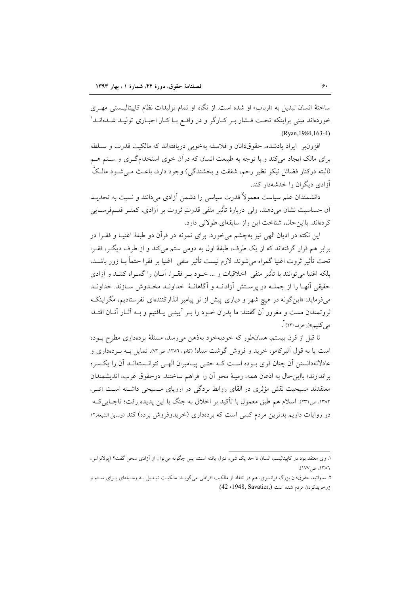ساختهٔ انسان تبدیل به «ارباب» او شده است. از نگاه او تمام تولیدات نظام کاپیتالیـستی مهـری خوردهاند مبنی براینکه تحت فــشار بــر کــارگر و در واقــع بــا کــار اجبــاری تولیــد شــدهانــد ٰ (Rvan.1984.163-4)

افزون بر ايراد يادشده، حقوقدانان و فلاسفه بهخوبي دريافتهاند كه مالكيت قدرت و سلطه برای مالک ایجاد میکند و با توجه به طبیعت انسان که درآن خوی استخدامگری و ستم هـم (البته درکنار فضائل نیکو نظیر رحم، شفقت و بخشندگی) وجود دارد، باعث مـیشـود مالـکْ آزادی دیگران را خدشهدار کند.

دانشمندان علم سیاست معمولاً قدرت سیاسی را دشمن آزادی می دانند و نسبت به تحدیــد اّن حساسیت نشان میدهند، ولی دربارهٔ تأثیر منفی قدرتِ ثروت بر اَزادی، کمتـر قلــمفرسـایی کردهاند. بااین حال، شناخت این راز سابقهای طولانی دارد.

این نکته در ادیان الهی نیز بهچشم می خورد. برای نمونه در قرآن دو طبقهٔ اغنیـا و فقـرا در برابر هم قرار گرفتهاند که از یک طرف، طبقهٔ اول به دومی ستم میکند و از طرف دیگر، فقـرا تحت تأثير ثروت اغنيا گمراه مي شوند. لازم نيست تأثير منفي اغنيا بر فقرا حتماً بــا زور باشــد، بلکه اغنیا میتوانند با تأثیر منفی اخلاقیات و … خــود بــر فقــرا، آنــان را گـمــراه کننــد و آزادی حقيقي أنهـا را از جملـه در يرسـتش أزادانـه و أگاهانــهٔ خداونــد مخـدوش ســازند. خداونــد میفرماید: «این گونه در هیچ شهر و دیاری پیش از تو پیامبر انذارکنندهای نفرستادیم، مگراینک ثروتمندان مست و مغرور آن گفتند: ما پدران خـود را بـر آیینــی یــافتیم و بــه آثــار آنــان اقتــدا مے کنیم»(زخرف/۲۳) ٌ.

تا قبل از قرن بیستم، همانطور که خودبهخود بهذهن می رسد، مسئلهٔ بردهداری مطرح بـوده است یا به قول آلبرکامو، خرید و فروش گوشت سیاه! (کامو، ۱۳۸۶، ص۷۲). تمایل بــه بــردهداری و عادلانهدانستن أن چنان قوى بـوده اسـت كـه حتـى پيـامبران الهـى نتوانـستهانـد أن را يكـسره براندازند؛ بااین حال به اذعان همه، زمینهٔ محو آن را فراهم ساختند. درحقوق غرب، اندیشمندان معتقدند مسیحیت نقش مؤثری در القای روابط بردگی در اروپای مسیحی داشته است (کلی، ١٣٨٢، ص٣٢١). اسلام هم طبق معمول با تأكيد بر اخلاق به جنگ با اين يديده رفت؛ تاجـايي كــه در روایات داریم بدترین مردم کسی است که بردهداری (خریدوفروش برده) کند (وسایل الشیعه،۱۲

۱. وی معتقد بود در کاپیتالیسم، انسان تا حد یک شیء تنزل یافته است، پس چگونه میتوان از آزادی سخن گفت؟ (پولانزاس، ١٣٨٦، ص١٧٧).

۲. ساواتیه، حقوق دان بزرگ فرانسوی، هم در انتقاد از مالکیت افراطی می گویـد، مالکیـت تبـدیل بـه وسـیلهای بـرای سـتم و زرخريدكردن مردم شده است (42 .1948, Savatier,)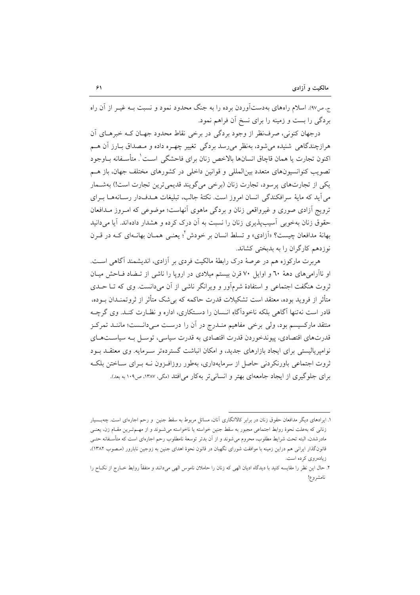ج، ص٩٧). اسلام راههای بهدستآوردن برده را به جنگ محدود نمود و نسبت بـه غیـر از آن راه بردگی را بست و زمینه را برای نسخ آن فراهم نمود.

درجهان کنونی، صرف نظر از وجود بردگی در برخی نقاط محدود جهـان کـه خبرهـای آن هرازچندگاهي شنيده مي شود، بهنظر مي رسد بردگي تغيير چهـره داده و مـصداق بــارز آن هــم اكنون تجارت يا همان قاچاق انسانها بالاخص زنان براي فاحشگي اسـت'. متأسـفانه بــاوجود تصویب کنوانسیونهای متعدد بینالمللی و قوانین داخلی در کشورهای مختلف جهان، باز هـم یکی از تجارتهای پرسود، تجارت زنان (برخی میگویند قدیمیترین تجارت است!) بهشـمار می آید که مایهٔ سرافکندگی انسان امروز است. نکتهٔ جالب، تبلیغات هــدفدار رســانههــا بـرای ترویج آزادی صوری و غیرواقعی زنان و بردگی ماهوی آنهاست؛ موضوعی که امروز مـدافعان حقوق زنان بهخوبی آسیبپذیری زنان را نسبت به آن درک کرده و هشدار دادهاند. آیا می دانید بهانهٔ مدافعان چیست؟ «اَزادی» و تسلط انسان بر خودش<sup>؟</sup>؛ یعنـی همـان بهانــهای کــه در قــرن نوزدهم كارگران را به بدبختی كشاند.

هربرت مارکوزه هم در عرصهٔ درک رابطهٔ مالکیت فردی بر آزادی، اندیشمند آگاهی است. او ناآرامیهای دههٔ ٦٠ و اوایل ٧٠ قرن بیستم میلادی در اروپا را ناشی از تـضاد فـاحش میـان ثروت هنگفت اجتماعی و استفادهٔ شرمآور و ویرانگر ناشی از آن می(دانست. وی که تــا حــدی متأثر از فروید بوده، معتقد است تشکیلات قدرت حاکمه که بےشک متأثر از ثروتمنیدان بوده، قادر است نهتنها آگاهی بلکه ناخودآگاهِ انـسان را دسـتکاری، اداره و نظـارت کنـد. وی گرچـه منتقد مارکسیسم بود، ولی برخی مفاهیم منـدرج در آن را درسـت مـیدانـست؛ ماننـد تمرکـز قدرتهای اقتصادی، پیوندخوردن قدرت اقتصادی به قدرت سیاسی، توسیل بـه سیاسـتهبای نوامیریالیستی برای ایجاد بازارهای جدید، و امکان انباشت گستردهتر سـرمایه. وی معتقــد بــود ثروت اجتماعی باورنکردنی حاصل از سرمایهداری، بهطور روزافـزون نــه بـرای ســاختن بلکــه برای جلوگیری از ایجاد جامعهای بهتر و انسانی تر بهکار می افتد (مگی، ۱۳۸۷، ص۱۰۹ به بعد).

۱. ایرادهای دیگر مدافعان حقوق زنان در برابر کالاانگاری آنان، مسائل مربوط به سقط جنین و رحم اجارهای است. چهبسیار زنانی که به علت نحوهٔ روابط اجتماعی مجبور به سقط جنین خواسته یا ناخواسته می شـوند و از مهـمتـرین مقـام زن، یعنـی مادرشدن، البته تحت شرایط مطلوب، محروم می شوند و از آن بدتر توسعهٔ نامطلوب رحم اجارهای است که متأسـفانه حتــی قانونگذار ایرانی هم دراین زمینه با موافقت شورای نگهبان در قانون نحوهٔ اهدای جنین به زوجین نابارور (مـصوب ۱۳۸۲)، زیادهروی کرده است.

۲. حال این نظر را مقایسه کنید با دیدگاه ادیان الهی که زنان را حاملان ناموس الهی می،دانند و متفقاً روابط خــارج از نکــاح را نامشروع!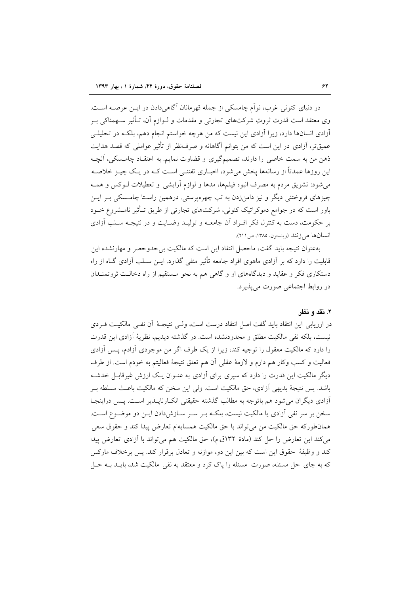در دنیای کنونی غرب، نواّم چامسکی از جمله قهرمانان آگاهی دادن در ایــن عرصــه اســت. وی معتقد است قدرت ثروتِ شرکتهای تجارتی و مقدمات و لـوازم أن، تـأثیر سـهمناکی بـر آزادی انسانها دارد، زیرا آزادی این نیست که من هرچه خواستم انجام دهم، بلکـه در تحلیلـی عمیقتر، آزادی در این است که من بتوانم آگاهانه و صرف نظر از تأثیر عواملی که قصد هدایت ذهن من به سمت خاصی را دارند، تصمیمگیری و قضاوت نمایم. به اعتقـاد چامـسکی، آنچـه این روزها عمدتاً از رسانهها یخش میشود، اخبـاری تفننـی اسـت کـه در یـک چیـز خلاصـه می شود: تشویق مردم به مصرف انبوه فیلمها، مدها و لوازم آرایشی و تعطیلات لـوکس و همـه چیزهای فروختنی دیگر و نیز دامنزدن به تب چهرهپرستی. درهمین راسـتا چامـسکی بـر ایـن باور است که در جوامع دموکراتیک کنونی، شرکتهای تجارتی از طریق تـأثیر نامـشروع خــود بر حکومت، دست به کنترل فکر افـراد آن جامعــه و تولیــد رضــایت و در نتیجــه ســلب آزادی انسانها می زنند (وینستون، ۱۳۸۵، ص ۲۱۱).

بهعنوان نتيجه بايد گفت، ماحصل انتقاد اين است كه مالكيت بي حدوحصر و مهارنشده اين قابلیت را دارد که بر آزادی ماهوی افراد جامعه تأثیر منفی گذارد. ایــن ســلب آزادی گــاه از راه دستکاری فکر و عقاید و دیدگاههای او و گاهی هم به نحو مستقیم از راه دخالت ثروتمندان در روابط اجتماعی صورت می پذیر د.

## ۲. نقد و نظر

در ارزيابي اين انتقاد بايد گفت اصل انتقاد درست است، ولـي نتيجـهٔ آن نفـي مالكيـت فـردي نیست، بلکه نفی مالکیت مطلق و محدودنشده است. در گذشته دیدیم، نظریهٔ آزادی این قدرت را دارد که مالکیت معقول را توجیه کند، زیرا از یک طرف اگر من موجودی آزادم، پس آزادی فعاليت و كسب وكار هم دارم و لازمهٔ عقلی آن هم تعلق نتيجهٔ فعاليتم به خودم است. از طرف دیگر مالکیت این قدرت را دارد که سیری برای آزادی به عنـوان یـک ارزش غیرقابـل خدشـه باشد. پس نتیجهٔ بدیهی آزادی، حق مالکیت است. ولی این سخن که مالکیت باعـث ســلطه بــر آزادی دیگران می شود هم باتوجه به مطالب گذشته حقیقتی انکـارناپــذیر اســت. پــس دراینجــا سخن بر سر نفی آزادی یا مالکیت نیست، بلکـه بـر سـر سـازش۱ددن ایـن دو موضـوع اسـت. همان طوركه حق مالكيت من مي تواند با حق مالكيت همسايهام تعارض پيدا كند و حقوق سعى می کند این تعارض را حل کند (مادهٔ ۱۳۲ق.م)، حق مالکیت هم می تواند با آزادی تعارض پیدا کند و وظیفهٔ حقوق این است که بین این دو، موازنه و تعادل برقرار کند. پس برخلاف مارکس که به جای حل مسئله، صورت مسئله را پاک کرد و معتقد به نفی مالکیت شد، بایــد بــه حــل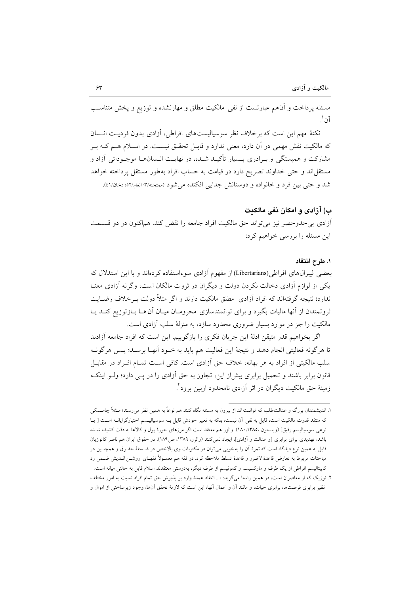مسئله یرداخت و آنهم عبارتست از نفی مالکیت مطلق و مهارنشده و توزیع و پخش متناسب آن`.

نکتهٔ مهم این است که برخلاف نظر سوسیالیستهای افراطی، آزادی بدون فردیـت انــسان که مالکیت نقش مهمی در آن دارد، معنی ندارد و قابــل تحقــق نیــست. در اســلام هــم کــه بــر مشارکت و همبستگی و بـرادری بـسیار تأکیـد شـده، در نهایـت انـسانهـا موجـوداتی آزاد و مستقل اند و حتى خداوند تصريح دارد در قيامت به حساب افراد به طور مستقل پرداخته خواهد شد و حتى بين فرد و خانواده و دوستانش جدايي افكنده مى شود (ممتحنه/٣: انعام/٥٢، دخان/٤١).

## ب) آزادی و امکان نفی مالکیت

أزادي بي حدوحصر نيز مي تواند حق مالكيت افراد جامعه را نقض كند. هماكنون در دو قـسمت این مسئله را بررسی خواهیم کرد:

## ١. طرح انتقاد

بعضی لیبرال های افراطی(Libertarians)از مفهوم آزادی سوءاستفاده کردهاند و با این استدلال که یکی از لوازم آزادی دخالت نکردن دولت و دیگران در ثروت مالکان است، وگرنه آزادی معنـا ندارد؛ نتیجه گرفتهاند که افراد آزادی ًمطلق مالکیت دارند و اگر مثلاً دولت بـرخلاف رضــایت ثروتمندان از آنها مالیات بگیرد و برای توانمندسازی محرومـان میـان آن هـا بـازتوزیع کنـد یـا مالکیت را جز در موارد بسیار ضروری محدود سازد، به منزلهٔ سلب آزادی است.

اگر بخواهیم قدر متیقن ادلهٔ این جریان فکری را بازگوییم، این است که افراد جامعه آزادند تا هرگونه فعالیتی انجام دهند و نتیجهٔ این فعالیت هم باید به خـود آنهـا برسـد؛ پـس هرگونــه سلب مالکیتی از افراد به هر بهانه، خلاف حق آزادی است. کافی است تمـام افـراد در مقابـل قانون برابر باشند و تحمیل برابری بیش(ز این، تجاوز به حق آزادی را در پـی دارد؛ ولـو اینکـه زمینهٔ حق مالکیت دیگران در اثر آزادی نامحدود ازبین برود".

۱. اندیشمندان بزرگ و عدالت طلب که توانستهاند از بیرون به مسئله نگاه کنند هم نوعاً به همین نظر می٫رسند؛ مـثلاً چامـسکی كه منتقد قدرت مالكيت است، قايل به نفي أن نيست، بلكه به تعبير خودش قايل بـه سوسياليـسم اختيارگرايانـه اسـت [يـا نوعی سوسیالیسم رقیق] (وینستون ،۱۳۸۵، ۱۸۰). والزر هم معتقد است اگر مرزهای حوزهٔ یول و کالاها به دقت کشیده شـده باشد، تهدیدی برای برابری [و عدالت و آزادی]، ایجاد نمی کنند (والزر، ۱۳۸۹، ص۱۸۹). در حقوق ایران هم ناصر کاتوزیان قایل به همین نوع دیدگاه است که ثمرهٔ آن را بهخوبی می توان در مکتوبات وی بالاخص در فلسفهٔ حقـوق و همچنـین در مباحثات مربوط به تعارض قاعدهٔ لاضرر و قاعدهٔ تسلط ملاحظه کرد. در فقه هم معمــولاً فقهــای روشــن انــدیش ضــمن رد کاپیتالیسم افراطی از یک طرف و مارکسیسم و کمونیسم از طرف دیگر، بهدرستی معتقدند اسلام قایل به حالتی میانه است. ۲. نوزیک که از معاصران است، در همین راستا میگوید: «... انتقاد عمدهٔ وارد بر پذیرش حق تمام افراد نسبت به امور مختلف

نظیر برابری فرصتها، برابری حیات، و مانند آن و اعمال آنها، این است که لازمهٔ تحقق آنها، وجود زیرساختی از اموال و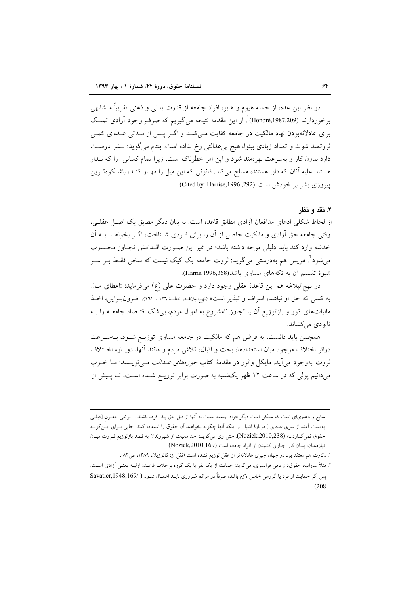در نظر این عده، از جمله هیوم و هابز، افراد جامعه از قدرت بدنی و ذهنی تقریباً مــشابهی برخوردارند (Honoré,1987,209)'. از این مقدمه نتیجه می گیریم که صرف وجود آزادی تملک برای عادلانهبودن نهاد مالکیت در جامعه کفایت مـیکنـد و اگـر پـس از مـدتی عـدهای کمـی ثروتمند شوند و تعداد زیادی بینوا، هیچ بی عدالتی رخ نداده است. بنتام میگوید: بـشر دوسـت دارد بدون کار و بهسرعت بهرهمند شود و این امر خطرناک است، زیرا تمام کسانی را که نـدار هستند علیه آنان که دارا هستند، مسلح میکند. قانونی که این میل را مهـار کنـد، باشـکوهتـرین ييروزي بشر بر خودش است (Cited by: Harrise,1996 ,292).

#### ۲. نقد و نظر

از لحاظ شکلی ادعای مدافعان آزادی مطابق قاعده است. به بیان دیگر مطابق یک اصـل عقلـی، وقتی جامعه حق آزادی و مالکیت حاصل از آن را برای فـردی شـناخت، اگـر بخواهــد بــه آن خدشه وارد كند بايد دليلي موجه داشته باشد؛ در غير اين صورت اقلدامش تجباوز محسوب میشود<sup>۲</sup>. هریس هم بهدرستی میگوید: ثروت جامعه یک کیک نیست که سخن فقـط بـر سـر شیوهٔ تقسیم آن به تکههای مساوی باشد(Harris,1996,368).

در نهج البلاغه هم اين قاعدة عقلي وجود دارد و حضرت علي (ع) مي فرمايد: «اعطاى مـال به كسي كه حقٍّ او نباشد، اسراف و تبذير است» (نهجالبلاغـه، خطبـهٔ ١٢٦ و ١٦١). افـزون(بـراين، اخــذ مالیاتهای کور و بازتوزیع اّن یا تجاوز نامشروع به اموال مردم، بی شک اقتـصاد جامعــه را بــه نابو دي مي کشاند.

همچنین باید دانست، به فرض هم که مالکیت در جامعه مساوی توزیـع شـود، بـهسـرعت دراثر اختلاف موجود ميان استعدادها، بخت و اقبال، تلاش مردم و مانند آنها، دوبـاره اخـتلاف ثروت بهوجود می[ید. مایکل والزر در مقدمهٔ کتاب *حوزههای عـــالت مــی*نویـــسد: مــا خــوب میدانیم پولی که در ساعت ۱۲ ظهر یکشنبه به صورت برابر توزیـع شـده اسـت، تـا پـیش از

منابع و دعاویای است که ممکن است دیگر افراد جامعه نسبت به آنها از قبل حق پیدا کرده باشند ... برخی حقـوق [قبلـی بهدست اَمده از سوی عدهای ] دربارهٔ اشیا… و اینکه اَنها چگونه بخواهند اَن حقوق را استفاده کنند، جایی بــرای ایــنگونــه حقوق نمیگذارد...» (Nozick,2010,238). حتی وی میگوید: اخذ مالیات از شهروندان به قصد بازتوزیع ثـروت میـان نیازمندان، بسان کار اجباری کشیدن از افراد جامعه است (Nozick,2010,169).

۱. دکارت هم معتقد بود در جهان چیزی عادلانهتر از عقل توزیع نشده است (نقل از: کاتوزیان، ۱۳۸۹، ص۸۲).

۲. مثلاً ساواتیه، حقوق‹ان نامی فرانسوی، میگوید: حمایت از یک نفر یا یک گروه برخلاف قاعـدهٔ اولیـه یعنـی آزادی اسـت. پس اگر حمایت از فرد یا گروهی خاص لازم باشد، صرفاً در مواقع ضروری بایـد اعمـال شـود ( /Savatier,1948,169  $(208)$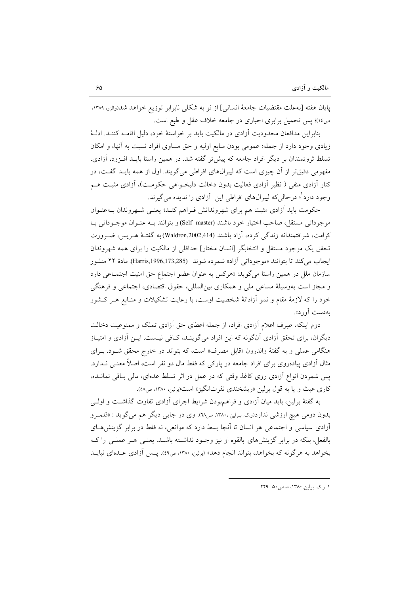يايان هفته [به علت مقتضيات جامعهٔ انساني] از نو به شكلي نابرابر توزيع خواهد شد(والزر، ١٣٨٩، ص١٤)؛ پس تحميل برابري اجباري در جامعه خلاف عقل و طبع است.

بنابراین مدافعان محدودیت آزادی در مالکیت باید بر خواستهٔ خود، دلیل اقامـه کننـد. ادلـهٔ زیادی وجود دارد از جمله: عمومی بودن منابع اولیه و حق مساوی افراد نسبت به آنها، و امکان تسلط ثروتمندان بر دیگر افراد جامعه که پیش تر گفته شد. در همین راستا بایــد افــزود، آزادی، مفهومی دقیقتر از آن چیزی است که لیبرالهای افراطی میگویند. اول از همه بایـد گفـت، در کنار آزادی منفی ( نظیر آزادی فعالیت بدون دخالت دلبخـواهی حکومـت)، آزادی مثبـت هـم وجود دارد ْ؛ درحالي كه ليبرالهاي افراطي اين \_آزادي را نديده مي گيرند.

حکومت باید آزادی مثبت هم برای شهروندانش فـراهم کنـد؛ یعنـی شـهروندان بـهعنـوان موجوداتي مستقل، صاحب اختيار خود باشند (Self master)و بتوانند بـه عنـوان موجـوداتـي بـا کرامت، شرافتمندانه زندگی کرده، آزاد باشند (Waldron,2002,414) به گفتـهٔ هـريس، ضـرورت تحقق یک موجود مستقل و انتخابگر [انسان مختار] حداقلی از مالکیت را برای همه شهروندان ايجاب مي كند تا بتوانند «موجوداتي آزاد» شمرده شوند (Harris,1996,173,285). مادهٔ ۲۲ منشور سازمان ملل در همین راستا میگوید: «هرکس به عنوان عضو اجتماع حق امنیت اجتماعی دارد و مجاز است بهوسیلهٔ مساعی ملی و همکاری بین المللی، حقوق اقتصادی، اجتماعی و فرهنگی خود را که لازمهٔ مقام و نمو آزادانهٔ شخصیت اوست، با رعایت تشکیلات و منـابع هـر کـشور بهدست آورد».

دوم اینکه، صرف اعلام آزادی افراد، از جمله اعطای حق آزادی تملک و ممنوعیت دخالت دیگران، برای تحقق آزادی آنگونه که این افراد میگوینـد، کـافی نیـست. ایــن آزادی و امتیـاز هنگامی عملی و به گفتهٔ والدرون «قابل مصرف» است، که بتواند در خارج محقق شـود. بـرای مثال آزادی پیادهروی برای افراد جامعه در پارکی که فقط مال دو نفر است، اصلاً معنــی نــدارد. یس شمردن انواع آزادی روی کاغذ وقتی که در عمل در اثر تسلط عدمای، مالی بـاقی نمانــده، کاری عبث و یا به قول برلین «ریشخندی نفرتانگیز» است(برلین. ۱۳۸۰، ص۵۸).

به گفتهٔ برلین، باید میان آزادی و فراهمبودن شرایط اجرای آزادی تفاوت گذاشت و اولـی بدون دومي هيچ ارزشي ندارد(ر.ي. بـرلين ١٣٨٠، ص٦٨). وي در جايي ديگر هم مي گويد : «قلمـرو آزادی سیاسی و اجتماعی هر انسان تا آنجا بسط دارد که موانعی، نه فقط در برابر گزینش هـای بالفعل، بلکه در برابر گزینشهای بالقوه او نیز وجـود نداشـته باشـد. یعنـی هـر عملـی را کـه بخواهد به هرگونه که بخواهد، بتواند انجام دهد» (برلین، ۱۳۸۰، ص۹۹). پــس آزادي عــدماي نبايــد

١. ر.ک. برلین، ١٣٨٠، صص ٥٠\_ ٢٤٩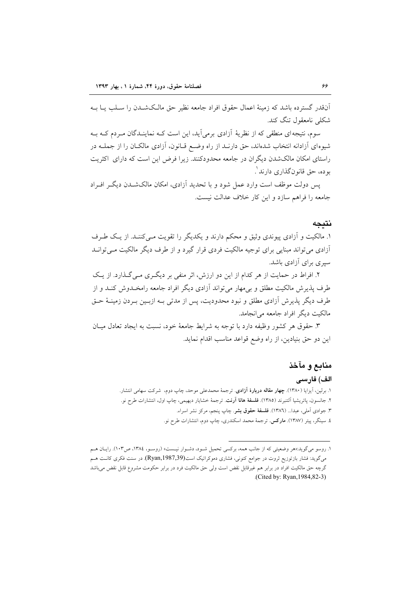اّنقدر گسترده باشد که زمینهٔ اعمال حقوق افراد جامعه نظیر حق مالـکشــدن را ســلب پــا بــه شکلے نامعقول تنگ کند.

سوم، نتیجهای منطقی که از نظریهٔ آزادی برمی آید، این است کـه نماینـدگان مـردم کـه بـه شیوهای آزادانه انتخاب شدهاند، حق دارنـد از راه وضـع قـانون، آزادی مالکـان را از جملــه در راستای امکان مالکشدن دیگران در جامعه محدودکنند. زیرا فرض این است که دارای اکثریت بوده، حق قانونگذاري دارند`.

یس دولت موظف است وارد عمل شود و با تحدید آزادی، امکان مالکشــدن دیگــر افــراد جامعه را فراهم سازد و این کار خلاف عدالت نیست.

### نتيجه

۱. مالکیت و آزادی پیوندی وثیق و محکم دارند و یکدیگر را تقویت مـیکننـد. از یـک طـرف آزادی می تواند مبنایی برای توجیه مالکیت فردی قرار گیرد و از طرف دیگر مالکیت مـیتوانــد سیری برای آزادی باشد.

۲. افراط در حمایت از هر کدام از این دو ارزش، اثر منفی بر دیگری مـی گـذارد. از یـک طرف پذیرش مالکیت مطلق و بر مهار می تواند آزادی دیگر افراد جامعه رامخـدوش کنـد و از طرف دیگر پذیرش آزادی مطلق و نبود محدودیت، پس از مدتی بـه ازبـین بـردن زمینــهٔ حــق مالکت دیگر افراد جامعه می انجامد.

۳. حقوق هر كشور وظيفه دارد با توجه به شرايط جامعهٔ خود، نسبت به ايجاد تعادل ميـان این دو حق بنیادین، از راه وضع قواعد مناسب اقدام نماید.

# منابع و مآخذ

## الف) فارسى

- ۱. برلین، آیزایا (۱۳۸۰). **چهار مقاله دربارهٔ آزادی**. ترجمهٔ محمدعلی موحد، چاپ دوم، شرکت سهامی انتشار. ۲. جانسون، پاتریشیا اَلتنبرند (۱۳۸۵). **فلسفهٔ هانا اَرنت**. ترجمهٔ خشایار دیهیمی، چاپ اول، انتشارات طرح نو. ۳. جوادی آملی، عبدا... (۱۳۸**٦**). ف**لسفهٔ حقوق بشر**. چاپ پنجم، مرکز نشر اسراء.
	- ٤. سینگر، پیتر (١٣٨٧). **مارکس**. ترجمهٔ محمد اسکندری، چاپ دوم، انتشارات طرح نو.

۱. روسو میگوید:اهر وضعیتی که از جانب همه، برکسی تحمیل شـود، دشـوار نیـست، (روسـو، ۱۳۸٤، ص۱۰۳). رایـان هـم میگوید: فشار بازتوزیع ثروت در جوامع کنونی، فشاری دموکراتیک است(Ryan,1987,39). در سنت فکری کانـت هــم گرچه حق مالکیت افراد در برابر هم غیرقابل نقض است ولی حق مالکیت فرد در برابر حکومت مشروع قابل نقض میباشد (Cited by: Ryan, 1984, 82-3)